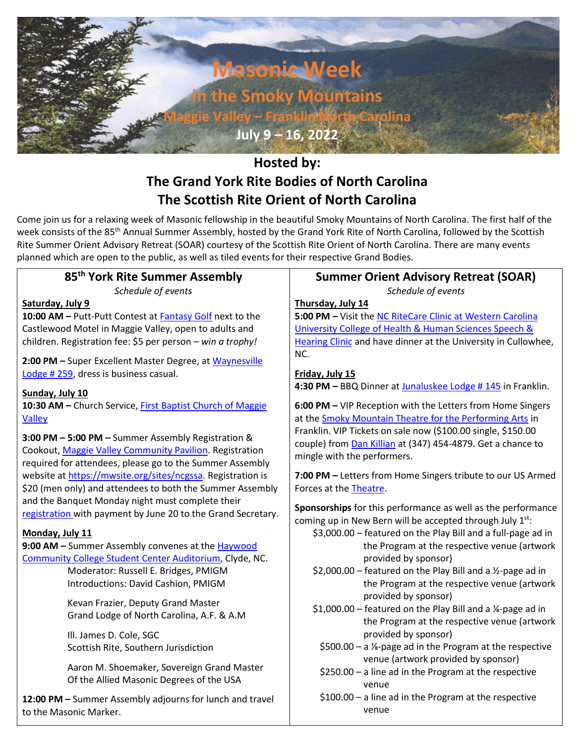

# **Hosted by: The Grand York Rite Bodies of North Carolina The Scottish Rite Orient of North Carolina**

Come join us for a relaxing week of Masonic fellowship in the beautiful Smoky Mountains of North Carolina. The first half of the week consists of the 85<sup>th</sup> Annual Summer Assembly, hosted by the Grand York Rite of North Carolina, followed by the Scottish Rite Summer Orient Advisory Retreat (SOAR) courtesy of the Scottish Rite Orient of North Carolina. There are many events planned which are open to the public, as well as tiled events for their respective Grand Bodies.

# **85th York Rite Summer Assembly**

*Schedule of events*

#### **Saturday, July 9**

**10:00 AM –** Putt-Putt Contest at [Fantasy Golf](https://g.page/miniaturegolf18?share) next to the Castlewood Motel in Maggie Valley, open to adults and children. Registration fee: \$5 per person – *win a trophy!*

**2:00 PM –** Super Excellent Master Degree, at [Waynesville](https://goo.gl/maps/JKc174rxxzRQbjFc9)  [Lodge](https://goo.gl/maps/JKc174rxxzRQbjFc9) # 259, dress is business casual.

### **Sunday, July 10**

**10:30 AM –** Church Service[, First Baptist Church of Maggie](https://goo.gl/maps/7qdL9sJi846hqVDQ7)  [Valley](https://goo.gl/maps/7qdL9sJi846hqVDQ7)

**3:00 PM – 5:00 PM –** Summer Assembly Registration & Cookout[, Maggie Valley Community Pavilion.](https://goo.gl/maps/zio9sgC2yf9cV1xZ6) Registration required for attendees, please go to the Summer Assembly website a[t https://mwsite.org/sites/ncgssa.](https://mwsite.org/sites/ncgssa) Registration is \$20 (men only) and attendees to both the Summer Assembly and the Banquet Monday night must complete their [registration](https://mwsite.org/sites/ncgssa/wp-content/uploads/sites/50/2022/05/registation.pdf) with payment by June 20 to the Grand Secretary.

### **Monday, July 11**

**9:00 AM –** Summer Assembly convenes at th[e Haywood](https://goo.gl/maps/u1q9E9xxGutPHtiHA)  [Community College Student Center Auditorium,](https://goo.gl/maps/u1q9E9xxGutPHtiHA) Clyde, NC.

> Moderator: Russell E. Bridges, PMIGM Introductions: David Cashion, PMIGM

Kevan Frazier, Deputy Grand Master Grand Lodge of North Carolina, A.F. & A.M

Ill. James D. Cole, SGC Scottish Rite, Southern Jurisdiction

Aaron M. Shoemaker, Sovereign Grand Master Of the Allied Masonic Degrees of the USA

**12:00 PM –** Summer Assembly adjourns for lunch and travel to the Masonic Marker.

# **Summer Orient Advisory Retreat (SOAR)**

*Schedule of events*

# **Thursday, July 14**

**5:00 PM –** Visit the [NC RiteCare Clinic at Western Carolina](https://goo.gl/maps/bPxNd3zQXox7pfX36)  [University College of Health & Human Sciences Speech &](https://goo.gl/maps/bPxNd3zQXox7pfX36)  [Hearing Clinic](https://goo.gl/maps/bPxNd3zQXox7pfX36) and have dinner at the University in Cullowhee, NC.

# **Friday, July 15**

**4:30 PM –** BBQ Dinner at [Junaluskee Lodge # 145](https://goo.gl/maps/AVPR1FXtyq8ADQdQ8) in Franklin.

**6:00 PM –** VIP Reception with the Letters from Home Singers at the [Smoky Mountain Theatre for the Performing Arts](https://g.page/smcpa?share) in Franklin. VIP Tickets on sale now (\$100.00 single, \$150.00 couple) from [Dan Killian](mailto:harvardinvestors@gmail.com?subject=Letters%20From%20Home%20VIP%20Tickets) at (347) 454-4879. Get a chance to mingle with the performers.

**7:00 PM –** Letters from Home Singers tribute to our US Armed Forces at th[e Theatre.](https://g.page/smcpa?share)

**Sponsorships** for this performance as well as the performance coming up in New Bern will be accepted through July  $1^{st}$ :

- \$3,000.00 featured on the Play Bill and a full-page ad in the Program at the respective venue (artwork provided by sponsor)
- \$2,000.00 featured on the Play Bill and a  $\frac{1}{2}$ -page ad in the Program at the respective venue (artwork provided by sponsor)
- \$1,000.00 featured on the Play Bill and a ¼-page ad in the Program at the respective venue (artwork provided by sponsor)
	- \$500.00 a ⅛-page ad in the Program at the respective venue (artwork provided by sponsor)
	- \$250.00 a line ad in the Program at the respective venue
	- \$100.00 a line ad in the Program at the respective venue